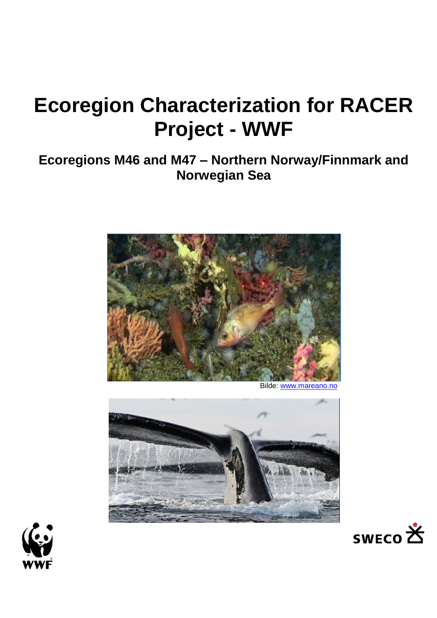# **Ecoregion Characterization for RACER Project - WWF**

## **Ecoregions M46 and M47 – Northern Norway/Finnmark and Norwegian Sea**



Bilde:www.mare





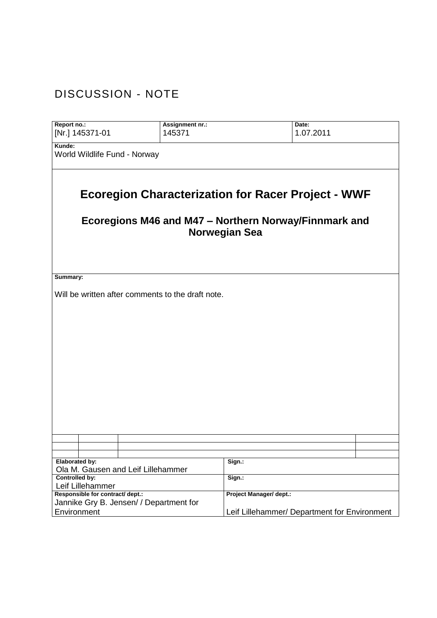## DISCUSSION - NOTE

| Report no.:<br>[Nr.] 145371-01                                                                                                             | <b>Assignment nr.:</b><br>145371 | Date:<br>1.07.2011                           |  |  |  |  |  |  |
|--------------------------------------------------------------------------------------------------------------------------------------------|----------------------------------|----------------------------------------------|--|--|--|--|--|--|
| Kunde:                                                                                                                                     |                                  |                                              |  |  |  |  |  |  |
| World Wildlife Fund - Norway                                                                                                               |                                  |                                              |  |  |  |  |  |  |
|                                                                                                                                            |                                  |                                              |  |  |  |  |  |  |
| <b>Ecoregion Characterization for Racer Project - WWF</b><br>Ecoregions M46 and M47 – Northern Norway/Finnmark and<br><b>Norwegian Sea</b> |                                  |                                              |  |  |  |  |  |  |
|                                                                                                                                            |                                  |                                              |  |  |  |  |  |  |
| Summary:                                                                                                                                   |                                  |                                              |  |  |  |  |  |  |
| Will be written after comments to the draft note.                                                                                          |                                  |                                              |  |  |  |  |  |  |
|                                                                                                                                            |                                  |                                              |  |  |  |  |  |  |
|                                                                                                                                            |                                  |                                              |  |  |  |  |  |  |
|                                                                                                                                            |                                  |                                              |  |  |  |  |  |  |
|                                                                                                                                            |                                  |                                              |  |  |  |  |  |  |
|                                                                                                                                            |                                  |                                              |  |  |  |  |  |  |
|                                                                                                                                            |                                  |                                              |  |  |  |  |  |  |
|                                                                                                                                            |                                  |                                              |  |  |  |  |  |  |
|                                                                                                                                            |                                  |                                              |  |  |  |  |  |  |
|                                                                                                                                            |                                  |                                              |  |  |  |  |  |  |
|                                                                                                                                            |                                  |                                              |  |  |  |  |  |  |
| <b>Elaborated by:</b><br>Sign.:                                                                                                            |                                  |                                              |  |  |  |  |  |  |
| Ola M. Gausen and Leif Lillehammer<br><b>Controlled by:</b>                                                                                |                                  | Sign.:                                       |  |  |  |  |  |  |
| Leif Lillehammer                                                                                                                           |                                  |                                              |  |  |  |  |  |  |
| Responsible for contract/ dept.:                                                                                                           |                                  | Project Manager/ dept.:                      |  |  |  |  |  |  |
| Jannike Gry B. Jensen/ / Department for<br>Environment                                                                                     |                                  | Leif Lillehammer/ Department for Environment |  |  |  |  |  |  |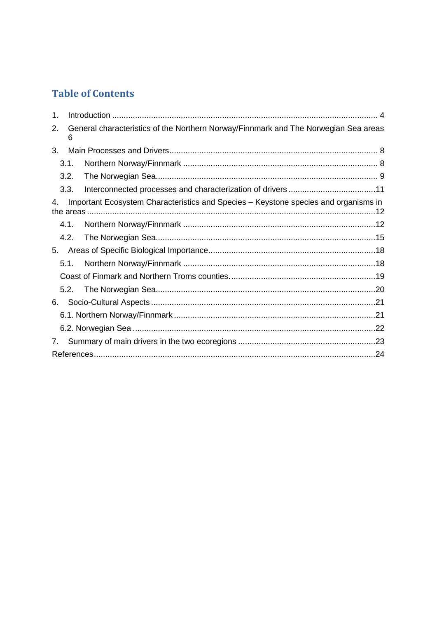## **Table of Contents**

| 1. |      |                                                                                     |  |  |
|----|------|-------------------------------------------------------------------------------------|--|--|
| 2. | 6    | General characteristics of the Northern Norway/Finnmark and The Norwegian Sea areas |  |  |
| 3. |      |                                                                                     |  |  |
|    | 3.1. |                                                                                     |  |  |
|    | 3.2. |                                                                                     |  |  |
|    | 3.3. |                                                                                     |  |  |
| 4. |      | Important Ecosystem Characteristics and Species - Keystone species and organisms in |  |  |
|    | 4.1. |                                                                                     |  |  |
|    | 4.2. |                                                                                     |  |  |
| 5. |      |                                                                                     |  |  |
|    | 5.1. |                                                                                     |  |  |
|    |      |                                                                                     |  |  |
|    | 5.2. |                                                                                     |  |  |
| 6. |      |                                                                                     |  |  |
|    |      |                                                                                     |  |  |
|    |      |                                                                                     |  |  |
| 7. |      |                                                                                     |  |  |
|    |      |                                                                                     |  |  |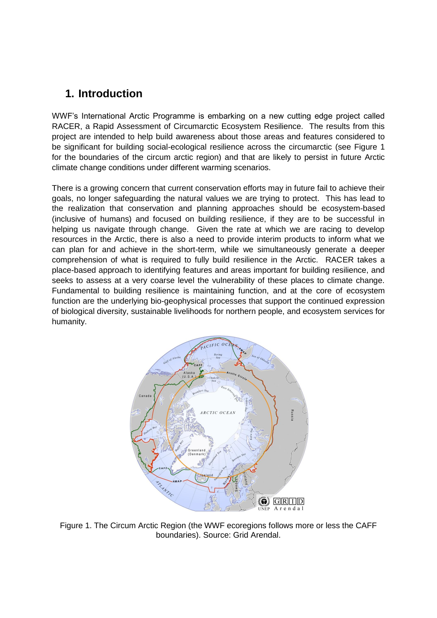## <span id="page-3-0"></span>**1. Introduction**

WWF's International Arctic Programme is embarking on a new cutting edge project called RACER, a Rapid Assessment of Circumarctic Ecosystem Resilience. The results from this project are intended to help build awareness about those areas and features considered to be significant for building social-ecological resilience across the circumarctic (see Figure 1 for the boundaries of the circum arctic region) and that are likely to persist in future Arctic climate change conditions under different warming scenarios.

There is a growing concern that current conservation efforts may in future fail to achieve their goals, no longer safeguarding the natural values we are trying to protect. This has lead to the realization that conservation and planning approaches should be ecosystem-based (inclusive of humans) and focused on building resilience, if they are to be successful in helping us navigate through change. Given the rate at which we are racing to develop resources in the Arctic, there is also a need to provide interim products to inform what we can plan for and achieve in the short-term, while we simultaneously generate a deeper comprehension of what is required to fully build resilience in the Arctic. RACER takes a place-based approach to identifying features and areas important for building resilience, and seeks to assess at a very coarse level the vulnerability of these places to climate change. Fundamental to building resilience is maintaining function, and at the core of ecosystem function are the underlying bio-geophysical processes that support the continued expression of biological diversity, sustainable livelihoods for northern people, and ecosystem services for humanity.



Figure 1. The Circum Arctic Region (the WWF ecoregions follows more or less the CAFF boundaries). Source: Grid Arendal.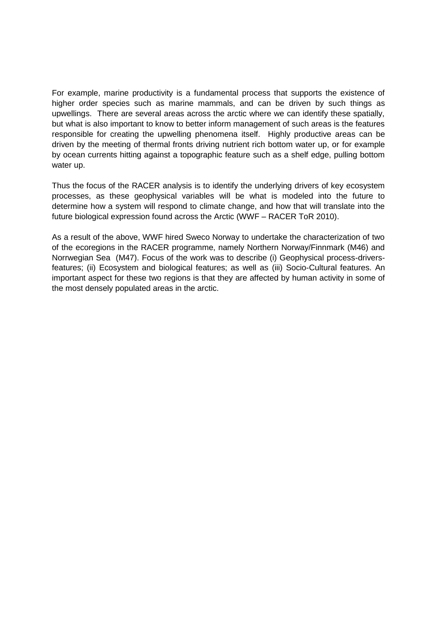For example, marine productivity is a fundamental process that supports the existence of higher order species such as marine mammals, and can be driven by such things as upwellings. There are several areas across the arctic where we can identify these spatially, but what is also important to know to better inform management of such areas is the features responsible for creating the upwelling phenomena itself. Highly productive areas can be driven by the meeting of thermal fronts driving nutrient rich bottom water up, or for example by ocean currents hitting against a topographic feature such as a shelf edge, pulling bottom water up.

Thus the focus of the RACER analysis is to identify the underlying drivers of key ecosystem processes, as these geophysical variables will be what is modeled into the future to determine how a system will respond to climate change, and how that will translate into the future biological expression found across the Arctic (WWF – RACER ToR 2010).

As a result of the above, WWF hired Sweco Norway to undertake the characterization of two of the ecoregions in the RACER programme, namely Northern Norway/Finnmark (M46) and Norrwegian Sea (M47). Focus of the work was to describe (i) Geophysical process-driversfeatures; (ii) Ecosystem and biological features; as well as (iii) Socio-Cultural features. An important aspect for these two regions is that they are affected by human activity in some of the most densely populated areas in the arctic.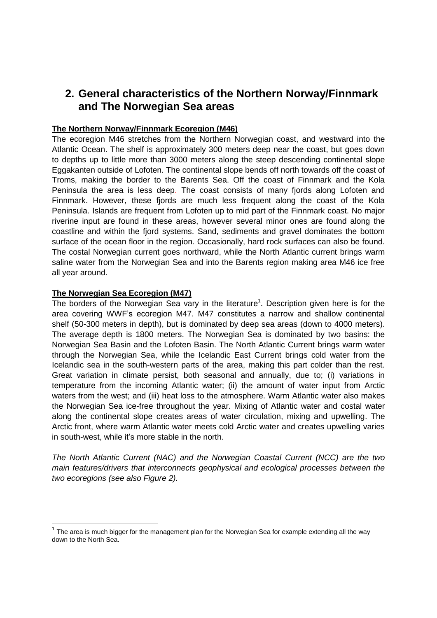## <span id="page-5-0"></span>**2. General characteristics of the Northern Norway/Finnmark and The Norwegian Sea areas**

#### **The Northern Norway/Finnmark Ecoregion (M46)**

The ecoregion M46 stretches from the Northern Norwegian coast, and westward into the Atlantic Ocean. The shelf is approximately 300 meters deep near the coast, but goes down to depths up to little more than 3000 meters along the steep descending continental slope Eggakanten outside of Lofoten. The continental slope bends off north towards off the coast of Troms, making the border to the Barents Sea. Off the coast of Finnmark and the Kola Peninsula the area is less deep. The coast consists of many fjords along Lofoten and Finnmark. However, these fjords are much less frequent along the coast of the Kola Peninsula. Islands are frequent from Lofoten up to mid part of the Finnmark coast. No major riverine input are found in these areas, however several minor ones are found along the coastline and within the fjord systems. Sand, sediments and gravel dominates the bottom surface of the ocean floor in the region. Occasionally, hard rock surfaces can also be found. The costal Norwegian current goes northward, while the North Atlantic current brings warm saline water from the Norwegian Sea and into the Barents region making area M46 ice free all year around.

#### **The Norwegian Sea Ecoregion (M47)**

1

The borders of the Norwegian Sea vary in the literature<sup>1</sup>. Description given here is for the area covering WWF's ecoregion M47. M47 constitutes a narrow and shallow continental shelf (50-300 meters in depth), but is dominated by deep sea areas (down to 4000 meters). The average depth is 1800 meters. The Norwegian Sea is dominated by two basins: the Norwegian Sea Basin and the Lofoten Basin. The North Atlantic Current brings warm water through the Norwegian Sea, while the Icelandic East Current brings cold water from the Icelandic sea in the south-western parts of the area, making this part colder than the rest. Great variation in climate persist, both seasonal and annually, due to; (i) variations in temperature from the incoming Atlantic water; (ii) the amount of water input from Arctic waters from the west; and (iii) heat loss to the atmosphere. Warm Atlantic water also makes the Norwegian Sea ice-free throughout the year. Mixing of Atlantic water and costal water along the continental slope creates areas of water circulation, mixing and upwelling. The Arctic front, where warm Atlantic water meets cold Arctic water and creates upwelling varies in south-west, while it's more stable in the north.

*The North Atlantic Current (NAC) and the Norwegian Coastal Current (NCC) are the two main features/drivers that interconnects geophysical and ecological processes between the two ecoregions (see also Figure 2).*

 $1$  The area is much bigger for the management plan for the Norwegian Sea for example extending all the way down to the North Sea.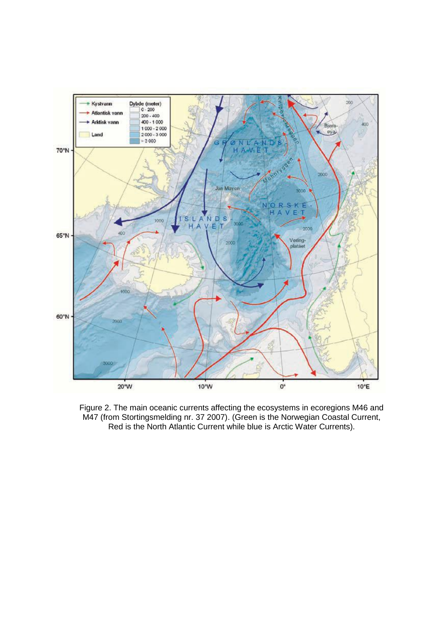

Figure 2. The main oceanic currents affecting the ecosystems in ecoregions M46 and M47 (from Stortingsmelding nr. 37 2007). (Green is the Norwegian Coastal Current, Red is the North Atlantic Current while blue is Arctic Water Currents).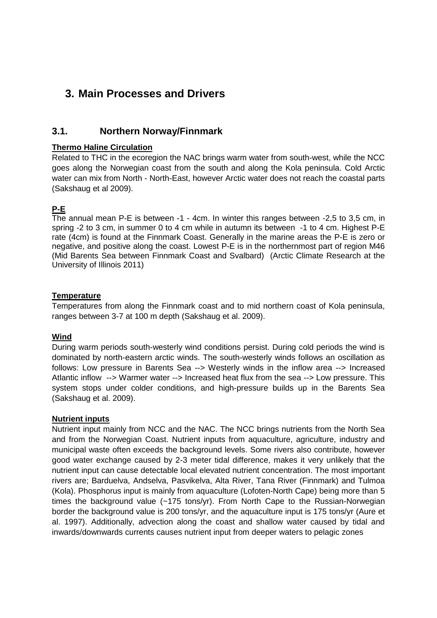## <span id="page-7-0"></span>**3. Main Processes and Drivers**

#### <span id="page-7-1"></span>**3.1. Northern Norway/Finnmark**

#### **Thermo Haline Circulation**

Related to THC in the ecoregion the NAC brings warm water from south-west, while the NCC goes along the Norwegian coast from the south and along the Kola peninsula. Cold Arctic water can mix from North - North-East, however Arctic water does not reach the coastal parts (Sakshaug et al 2009).

#### **P-E**

The annual mean P-E is between -1 - 4cm. In winter this ranges between -2,5 to 3,5 cm, in spring -2 to 3 cm, in summer 0 to 4 cm while in autumn its between -1 to 4 cm. Highest P-E rate (4cm) is found at the Finnmark Coast. Generally in the marine areas the P-E is zero or negative, and positive along the coast. Lowest P-E is in the northernmost part of region M46 (Mid Barents Sea between Finnmark Coast and Svalbard) (Arctic Climate Research at the University of Illinois 2011)

#### **Temperature**

Temperatures from along the Finnmark coast and to mid northern coast of Kola peninsula, ranges between 3-7 at 100 m depth (Sakshaug et al. 2009).

#### **Wind**

During warm periods south-westerly wind conditions persist. During cold periods the wind is dominated by north-eastern arctic winds. The south-westerly winds follows an oscillation as follows: Low pressure in Barents Sea --> Westerly winds in the inflow area --> Increased Atlantic inflow --> Warmer water --> Increased heat flux from the sea --> Low pressure. This system stops under colder conditions, and high-pressure builds up in the Barents Sea (Sakshaug et al. 2009).

#### **Nutrient inputs**

Nutrient input mainly from NCC and the NAC. The NCC brings nutrients from the North Sea and from the Norwegian Coast. Nutrient inputs from aquaculture, agriculture, industry and municipal waste often exceeds the background levels. Some rivers also contribute, however good water exchange caused by 2-3 meter tidal difference, makes it very unlikely that the nutrient input can cause detectable local elevated nutrient concentration. The most important rivers are; Barduelva, Andselva, Pasvikelva, Alta River, Tana River (Finnmark) and Tulmoa (Kola). Phosphorus input is mainly from aquaculture (Lofoten-North Cape) being more than 5 times the background value (~175 tons/yr). From North Cape to the Russian-Norwegian border the background value is 200 tons/yr, and the aquaculture input is 175 tons/yr (Aure et al. 1997). Additionally, advection along the coast and shallow water caused by tidal and inwards/downwards currents causes nutrient input from deeper waters to pelagic zones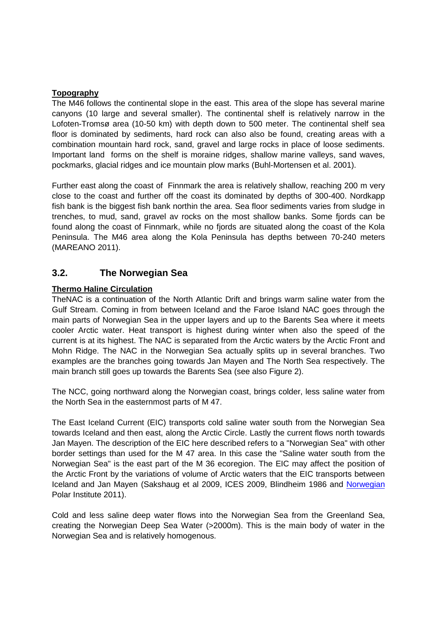#### **Topography**

The M46 follows the continental slope in the east. This area of the slope has several marine canyons (10 large and several smaller). The continental shelf is relatively narrow in the Lofoten-Tromsø area (10-50 km) with depth down to 500 meter. The continental shelf sea floor is dominated by sediments, hard rock can also also be found, creating areas with a combination mountain hard rock, sand, gravel and large rocks in place of loose sediments. Important land forms on the shelf is moraine ridges, shallow marine valleys, sand waves, pockmarks, glacial ridges and ice mountain plow marks (Buhl-Mortensen et al. 2001).

Further east along the coast of Finnmark the area is relatively shallow, reaching 200 m very close to the coast and further off the coast its dominated by depths of 300-400. Nordkapp fish bank is the biggest fish bank northin the area. Sea floor sediments varies from sludge in trenches, to mud, sand, gravel av rocks on the most shallow banks. Some fjords can be found along the coast of Finnmark, while no fjords are situated along the coast of the Kola Peninsula. The M46 area along the Kola Peninsula has depths between 70-240 meters (MAREANO 2011).

#### <span id="page-8-0"></span>**3.2. The Norwegian Sea**

#### **Thermo Haline Circulation**

TheNAC is a continuation of the North Atlantic Drift and brings warm saline water from the Gulf Stream. Coming in from between Iceland and the Faroe Island NAC goes through the main parts of Norwegian Sea in the upper layers and up to the Barents Sea where it meets cooler Arctic water. Heat transport is highest during winter when also the speed of the current is at its highest. The NAC is separated from the Arctic waters by the Arctic Front and Mohn Ridge. The NAC in the Norwegian Sea actually splits up in several branches. Two examples are the branches going towards Jan Mayen and The North Sea respectively. The main branch still goes up towards the Barents Sea (see also Figure 2).

The NCC, going northward along the Norwegian coast, brings colder, less saline water from the North Sea in the easternmost parts of M 47.

The East Iceland Current (EIC) transports cold saline water south from the Norwegian Sea towards Iceland and then east, along the Arctic Circle. Lastly the current flows north towards Jan Mayen. The description of the EIC here described refers to a "Norwegian Sea" with other border settings than used for the M 47 area. In this case the "Saline water south from the Norwegian Sea" is the east part of the M 36 ecoregion. The EIC may affect the position of the Arctic Front by the variations of volume of Arctic waters that the EIC transports between Iceland and Jan Mayen (Sakshaug et al 2009, ICES 2009, Blindheim 1986 and [Norwegian](http://www.miljøstatus.no/) Polar Institute 2011).

Cold and less saline deep water flows into the Norwegian Sea from the Greenland Sea, creating the Norwegian Deep Sea Water (>2000m). This is the main body of water in the Norwegian Sea and is relatively homogenous.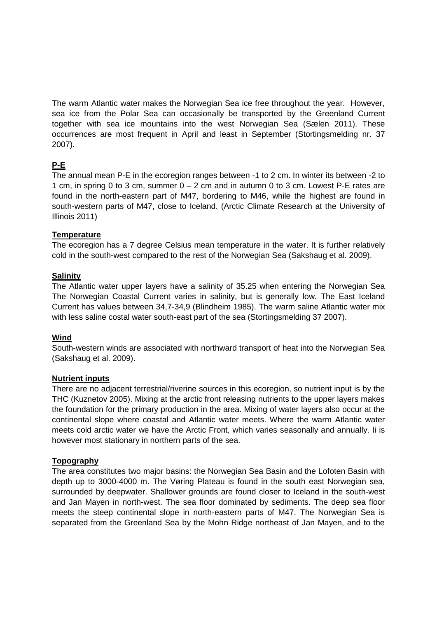The warm Atlantic water makes the Norwegian Sea ice free throughout the year. However, sea ice from the Polar Sea can occasionally be transported by the Greenland Current together with sea ice mountains into the west Norwegian Sea (Sælen 2011). These occurrences are most frequent in April and least in September (Stortingsmelding nr. 37 2007).

#### **P-E**

The annual mean P-E in the ecoregion ranges between -1 to 2 cm. In winter its between -2 to 1 cm, in spring 0 to 3 cm, summer 0 – 2 cm and in autumn 0 to 3 cm. Lowest P-E rates are found in the north-eastern part of M47, bordering to M46, while the highest are found in south-western parts of M47, close to Iceland. (Arctic Climate Research at the University of Illinois 2011)

#### **Temperature**

The ecoregion has a 7 degree Celsius mean temperature in the water. It is further relatively cold in the south-west compared to the rest of the Norwegian Sea (Sakshaug et al. 2009).

#### **Salinity**

The Atlantic water upper layers have a salinity of 35.25 when entering the Norwegian Sea The Norwegian Coastal Current varies in salinity, but is generally low. The East Iceland Current has values between 34,7-34,9 (Blindheim 1985). The warm saline Atlantic water mix with less saline costal water south-east part of the sea (Stortingsmelding 37 2007).

#### **Wind**

South-western winds are associated with northward transport of heat into the Norwegian Sea (Sakshaug et al. 2009).

#### **Nutrient inputs**

There are no adjacent terrestrial/riverine sources in this ecoregion, so nutrient input is by the THC (Kuznetov 2005). Mixing at the arctic front releasing nutrients to the upper layers makes the foundation for the primary production in the area. Mixing of water layers also occur at the continental slope where coastal and Atlantic water meets. Where the warm Atlantic water meets cold arctic water we have the Arctic Front, which varies seasonally and annually. Ii is however most stationary in northern parts of the sea.

#### **Topography**

The area constitutes two major basins: the Norwegian Sea Basin and the Lofoten Basin with depth up to 3000-4000 m. The Vøring Plateau is found in the south east Norwegian sea, surrounded by deepwater. Shallower grounds are found closer to Iceland in the south-west and Jan Mayen in north-west. The sea floor dominated by sediments. The deep sea floor meets the steep continental slope in north-eastern parts of M47. The Norwegian Sea is separated from the Greenland Sea by the Mohn Ridge northeast of Jan Mayen, and to the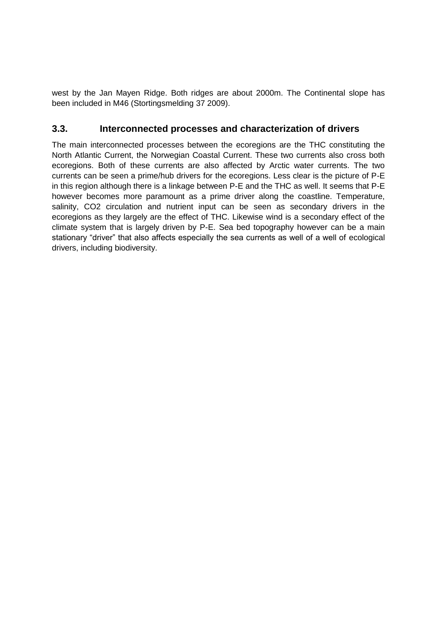west by the Jan Mayen Ridge. Both ridges are about 2000m. The Continental slope has been included in M46 (Stortingsmelding 37 2009).

#### <span id="page-10-0"></span>**3.3. Interconnected processes and characterization of drivers**

The main interconnected processes between the ecoregions are the THC constituting the North Atlantic Current, the Norwegian Coastal Current. These two currents also cross both ecoregions. Both of these currents are also affected by Arctic water currents. The two currents can be seen a prime/hub drivers for the ecoregions. Less clear is the picture of P-E in this region although there is a linkage between P-E and the THC as well. It seems that P-E however becomes more paramount as a prime driver along the coastline. Temperature, salinity, CO2 circulation and nutrient input can be seen as secondary drivers in the ecoregions as they largely are the effect of THC. Likewise wind is a secondary effect of the climate system that is largely driven by P-E. Sea bed topography however can be a main stationary "driver" that also affects especially the sea currents as well of a well of ecological drivers, including biodiversity.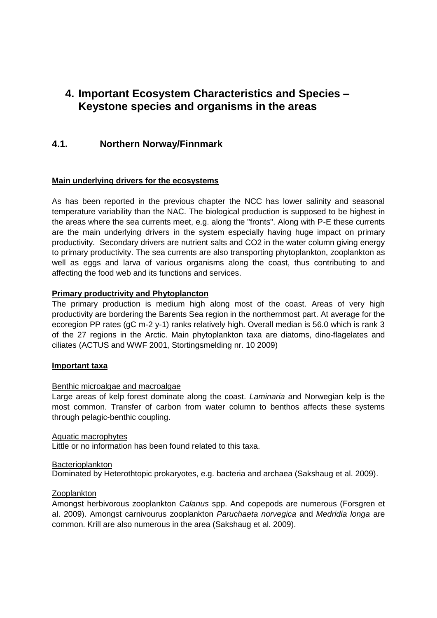## <span id="page-11-0"></span>**4. Important Ecosystem Characteristics and Species – Keystone species and organisms in the areas**

### <span id="page-11-1"></span>**4.1. Northern Norway/Finnmark**

#### **Main underlying drivers for the ecosystems**

As has been reported in the previous chapter the NCC has lower salinity and seasonal temperature variability than the NAC. The biological production is supposed to be highest in the areas where the sea currents meet, e.g. along the "fronts". Along with P-E these currents are the main underlying drivers in the system especially having huge impact on primary productivity. Secondary drivers are nutrient salts and CO2 in the water column giving energy to primary productivity. The sea currents are also transporting phytoplankton, zooplankton as well as eggs and larva of various organisms along the coast, thus contributing to and affecting the food web and its functions and services.

#### **Primary productrivity and Phytoplancton**

The primary production is medium high along most of the coast. Areas of very high productivity are bordering the Barents Sea region in the northernmost part. At average for the ecoregion PP rates (gC m-2 y-1) ranks relatively high. Overall median is 56.0 which is rank 3 of the 27 regions in the Arctic. Main phytoplankton taxa are diatoms, dino-flagelates and ciliates (ACTUS and WWF 2001, Stortingsmelding nr. 10 2009)

#### **Important taxa**

#### Benthic microalgae and macroalgae

Large areas of kelp forest dominate along the coast. *Laminaria* and Norwegian kelp is the most common. Transfer of carbon from water column to benthos affects these systems through pelagic-benthic coupling.

#### Aquatic macrophytes

Little or no information has been found related to this taxa.

#### **Bacterioplankton**

Dominated by Heterothtopic prokaryotes, e.g. bacteria and archaea (Sakshaug et al. 2009).

#### **Zooplankton**

Amongst herbivorous zooplankton *Calanus* spp. And copepods are numerous (Forsgren et al. 2009). Amongst carnivourus zooplankton *Paruchaeta norvegica* and *Medridia longa* are common. Krill are also numerous in the area (Sakshaug et al. 2009).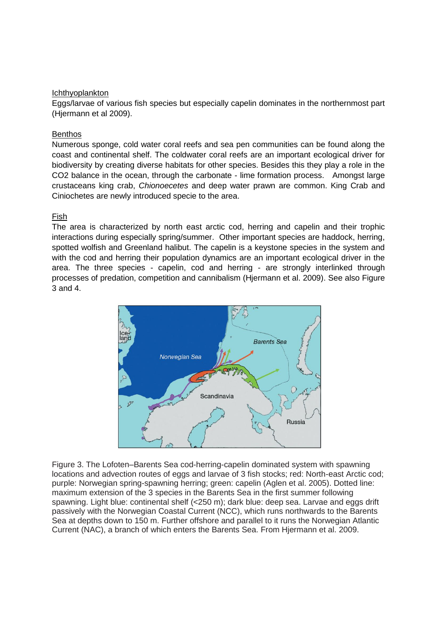#### Ichthyoplankton

Eggs/larvae of various fish species but especially capelin dominates in the northernmost part (Hjermann et al 2009).

#### **Benthos**

Numerous sponge, cold water coral reefs and sea pen communities can be found along the coast and continental shelf. The coldwater coral reefs are an important ecological driver for biodiversity by creating diverse habitats for other species. Besides this they play a role in the CO2 balance in the ocean, through the carbonate - lime formation process. Amongst large crustaceans king crab, *Chionoecetes* and deep water prawn are common. King Crab and Ciniochetes are newly introduced specie to the area.

#### Fish

The area is characterized by north east arctic cod, herring and capelin and their trophic interactions during especially spring/summer. Other important species are haddock, herring, spotted wolfish and Greenland halibut. The capelin is a keystone species in the system and with the cod and herring their population dynamics are an important ecological driver in the area. The three species - capelin, cod and herring - are strongly interlinked through processes of predation, competition and cannibalism (Hjermann et al. 2009). See also Figure 3 and 4.



Figure 3. The Lofoten–Barents Sea cod-herring-capelin dominated system with spawning locations and advection routes of eggs and larvae of 3 fish stocks; red: North-east Arctic cod; purple: Norwegian spring-spawning herring; green: capelin (Aglen et al. 2005). Dotted line: maximum extension of the 3 species in the Barents Sea in the first summer following spawning. Light blue: continental shelf (<250 m); dark blue: deep sea. Larvae and eggs drift passively with the Norwegian Coastal Current (NCC), which runs northwards to the Barents Sea at depths down to 150 m. Further offshore and parallel to it runs the Norwegian Atlantic Current (NAC), a branch of which enters the Barents Sea. From Hjermann et al. 2009.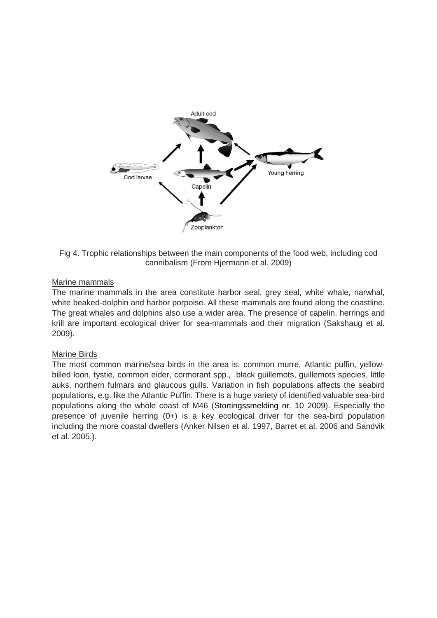

Fig 4. Trophic relationships between the main components of the food web, including cod cannibalism (From Hjermann et al. 2009)

#### Marine mammals

The marine mammals in the area constitute harbor seal, grey seal, white whale, narwhal, white beaked-dolphin and harbor porpoise. All these mammals are found along the coastline. The great whales and dolphins also use a wider area. The presence of capelin, herrings and krill are important ecological driver for sea-mammals and their migration (Sakshaug et al. 2009).

#### Marine Birds

The most common marine/sea birds in the area is; common murre, Atlantic puffin, yellowbilled loon, tystie, common eider, cormorant spp., black guillemots, guillemots species, little auks, northern fulmars and glaucous gulls. Variation in fish populations affects the seabird populations, e.g. like the Atlantic Puffin. There is a huge variety of identified valuable sea-bird populations along the whole coast of M46 (Stortingssmelding nr. 10 2009). Especially the presence of juvenile herring (0+) is a key ecological driver for the sea-bird population including the more coastal dwellers (Anker Nilsen et al. 1997, Barret et al. 2006 and Sandvik et al. 2005.).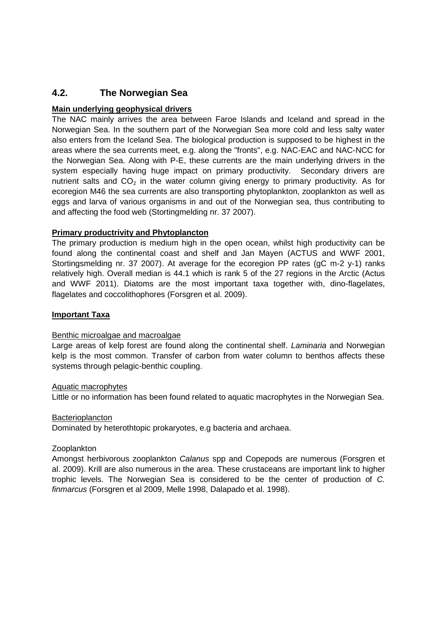### <span id="page-14-0"></span>**4.2. The Norwegian Sea**

#### **Main underlying geophysical drivers**

The NAC mainly arrives the area between Faroe Islands and Iceland and spread in the Norwegian Sea. In the southern part of the Norwegian Sea more cold and less salty water also enters from the Iceland Sea. The biological production is supposed to be highest in the areas where the sea currents meet, e.g. along the "fronts", e.g. NAC-EAC and NAC-NCC for the Norwegian Sea. Along with P-E, these currents are the main underlying drivers in the system especially having huge impact on primary productivity. Secondary drivers are nutrient salts and  $CO<sub>2</sub>$  in the water column giving energy to primary productivity. As for ecoregion M46 the sea currents are also transporting phytoplankton, zooplankton as well as eggs and larva of various organisms in and out of the Norwegian sea, thus contributing to and affecting the food web (Stortingmelding nr. 37 2007).

#### **Primary productrivity and Phytoplancton**

The primary production is medium high in the open ocean, whilst high productivity can be found along the continental coast and shelf and Jan Mayen (ACTUS and WWF 2001, Stortingsmelding nr. 37 2007). At average for the ecoregion PP rates (gC m-2 y-1) ranks relatively high. Overall median is 44.1 which is rank 5 of the 27 regions in the Arctic (Actus and WWF 2011). Diatoms are the most important taxa together with, dino-flagelates, flagelates and coccolithophores (Forsgren et al. 2009).

#### **Important Taxa**

#### Benthic microalgae and macroalgae

Large areas of kelp forest are found along the continental shelf. *Laminaria* and Norwegian kelp is the most common. Transfer of carbon from water column to benthos affects these systems through pelagic-benthic coupling.

#### Aquatic macrophytes

Little or no information has been found related to aquatic macrophytes in the Norwegian Sea.

#### **Bacterioplancton**

Dominated by heterothtopic prokaryotes, e.g bacteria and archaea.

#### **Zooplankton**

Amongst herbivorous zooplankton *Calanus* spp and Copepods are numerous (Forsgren et al. 2009). Krill are also numerous in the area. These crustaceans are important link to higher trophic levels. The Norwegian Sea is considered to be the center of production of *C. finmarcus* (Forsgren et al 2009, Melle 1998, Dalapado et al. 1998).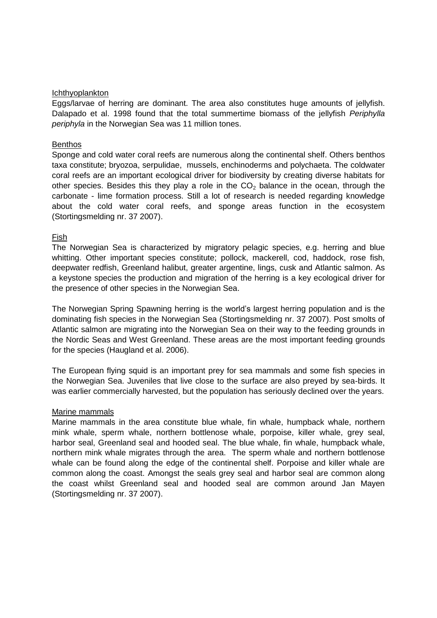#### Ichthyoplankton

Eggs/larvae of herring are dominant. The area also constitutes huge amounts of jellyfish. Dalapado et al. 1998 found that the total summertime biomass of the jellyfish *Periphylla periphyla* in the Norwegian Sea was 11 million tones.

#### Benthos

Sponge and cold water coral reefs are numerous along the continental shelf. Others benthos taxa constitute; bryozoa, serpulidae, mussels, enchinoderms and polychaeta. The coldwater coral reefs are an important ecological driver for biodiversity by creating diverse habitats for other species. Besides this they play a role in the  $CO<sub>2</sub>$  balance in the ocean, through the carbonate - lime formation process. Still a lot of research is needed regarding knowledge about the cold water coral reefs, and sponge areas function in the ecosystem (Stortingsmelding nr. 37 2007).

#### Fish

The Norwegian Sea is characterized by migratory pelagic species, e.g. herring and blue whitting. Other important species constitute; pollock, mackerell, cod, haddock, rose fish, deepwater redfish, Greenland halibut, greater argentine, lings, cusk and Atlantic salmon. As a keystone species the production and migration of the herring is a key ecological driver for the presence of other species in the Norwegian Sea.

The Norwegian Spring Spawning herring is the world's largest herring population and is the dominating fish species in the Norwegian Sea (Stortingsmelding nr. 37 2007). Post smolts of Atlantic salmon are migrating into the Norwegian Sea on their way to the feeding grounds in the Nordic Seas and West Greenland. These areas are the most important feeding grounds for the species (Haugland et al. 2006).

The European flying squid is an important prey for sea mammals and some fish species in the Norwegian Sea. Juveniles that live close to the surface are also preyed by sea-birds. It was earlier commercially harvested, but the population has seriously declined over the years.

#### Marine mammals

Marine mammals in the area constitute blue whale, fin whale, humpback whale, northern mink whale, sperm whale, northern bottlenose whale, porpoise, killer whale, grey seal, harbor seal, Greenland seal and hooded seal. The blue whale, fin whale, humpback whale, northern mink whale migrates through the area. The sperm whale and northern bottlenose whale can be found along the edge of the continental shelf. Porpoise and killer whale are common along the coast. Amongst the seals grey seal and harbor seal are common along the coast whilst Greenland seal and hooded seal are common around Jan Mayen (Stortingsmelding nr. 37 2007).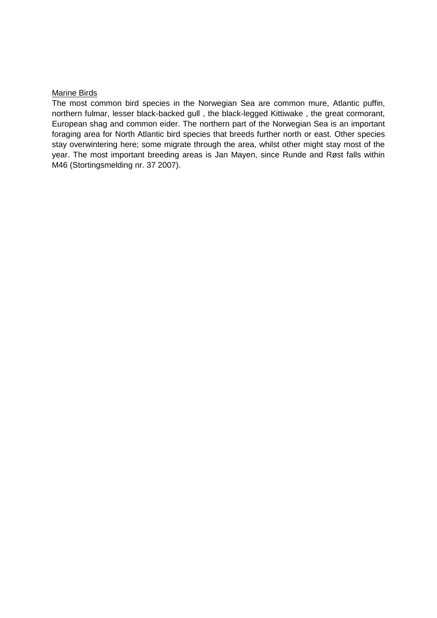#### Marine Birds

The most common bird species in the Norwegian Sea are common mure, Atlantic puffin, northern fulmar, lesser black-backed gull , the black-legged Kittiwake , the great cormorant, European shag and common eider. The northern part of the Norwegian Sea is an important foraging area for North Atlantic bird species that breeds further north or east. Other species stay overwintering here; some migrate through the area, whilst other might stay most of the year. The most important breeding areas is Jan Mayen, since Runde and Røst falls within M46 (Stortingsmelding nr. 37 2007).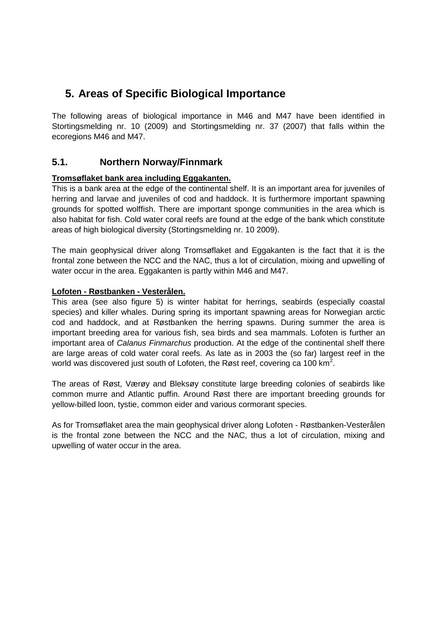## <span id="page-17-0"></span>**5. Areas of Specific Biological Importance**

The following areas of biological importance in M46 and M47 have been identified in Stortingsmelding nr. 10 (2009) and Stortingsmelding nr. 37 (2007) that falls within the ecoregions M46 and M47.

#### <span id="page-17-1"></span>**5.1. Northern Norway/Finnmark**

#### **Tromsøflaket bank area including Eggakanten.**

This is a bank area at the edge of the continental shelf. It is an important area for juveniles of herring and larvae and juveniles of cod and haddock. It is furthermore important spawning grounds for spotted wolffish. There are important sponge communities in the area which is also habitat for fish. Cold water coral reefs are found at the edge of the bank which constitute areas of high biological diversity (Stortingsmelding nr. 10 2009).

The main geophysical driver along Tromsøflaket and Eggakanten is the fact that it is the frontal zone between the NCC and the NAC, thus a lot of circulation, mixing and upwelling of water occur in the area. Eggakanten is partly within M46 and M47.

#### **Lofoten - Røstbanken - Vesterålen.**

This area (see also figure 5) is winter habitat for herrings, seabirds (especially coastal species) and killer whales. During spring its important spawning areas for Norwegian arctic cod and haddock, and at Røstbanken the herring spawns. During summer the area is important breeding area for various fish, sea birds and sea mammals. Lofoten is further an important area of *Calanus Finmarchus* production. At the edge of the continental shelf there are large areas of cold water coral reefs. As late as in 2003 the (so far) largest reef in the world was discovered just south of Lofoten, the Røst reef, covering ca 100 km<sup>2</sup>.

The areas of Røst, Værøy and Bleksøy constitute large breeding colonies of seabirds like common murre and Atlantic puffin. Around Røst there are important breeding grounds for yellow-billed loon, tystie, common eider and various cormorant species.

As for Tromsøflaket area the main geophysical driver along Lofoten - Røstbanken-Vesterålen is the frontal zone between the NCC and the NAC, thus a lot of circulation, mixing and upwelling of water occur in the area.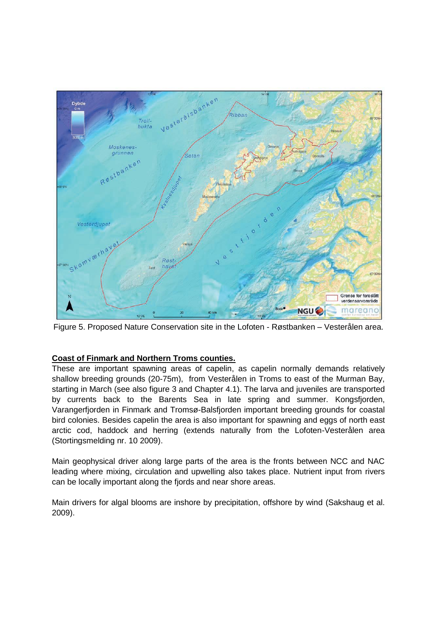

Figure 5. Proposed Nature Conservation site in the Lofoten - Røstbanken – Vesterålen area.

#### <span id="page-18-0"></span>**Coast of Finmark and Northern Troms counties.**

These are important spawning areas of capelin, as capelin normally demands relatively shallow breeding grounds (20-75m), from Vesterålen in Troms to east of the Murman Bay, starting in March (see also figure 3 and Chapter 4.1). The larva and juveniles are transported by currents back to the Barents Sea in late spring and summer. Kongsfjorden, Varangerfjorden in Finmark and Tromsø-Balsfjorden important breeding grounds for coastal bird colonies. Besides capelin the area is also important for spawning and eggs of north east arctic cod, haddock and herring (extends naturally from the Lofoten-Vesterålen area (Stortingsmelding nr. 10 2009).

Main geophysical driver along large parts of the area is the fronts between NCC and NAC leading where mixing, circulation and upwelling also takes place. Nutrient input from rivers can be locally important along the fjords and near shore areas.

Main drivers for algal blooms are inshore by precipitation, offshore by wind (Sakshaug et al. 2009).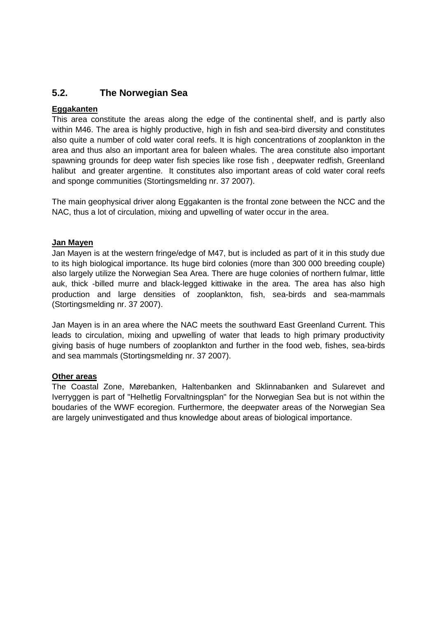## <span id="page-19-0"></span>**5.2. The Norwegian Sea**

#### **Eggakanten**

This area constitute the areas along the edge of the continental shelf, and is partly also within M46. The area is highly productive, high in fish and sea-bird diversity and constitutes also quite a number of cold water coral reefs. It is high concentrations of zooplankton in the area and thus also an important area for baleen whales. The area constitute also important spawning grounds for deep water fish species like rose fish , deepwater redfish, Greenland halibut and greater argentine. It constitutes also important areas of cold water coral reefs and sponge communities (Stortingsmelding nr. 37 2007).

The main geophysical driver along Eggakanten is the frontal zone between the NCC and the NAC, thus a lot of circulation, mixing and upwelling of water occur in the area.

#### **Jan Mayen**

Jan Mayen is at the western fringe/edge of M47, but is included as part of it in this study due to its high biological importance. Its huge bird colonies (more than 300 000 breeding couple) also largely utilize the Norwegian Sea Area. There are huge colonies of northern fulmar, little auk, thick -billed murre and black-legged kittiwake in the area. The area has also high production and large densities of zooplankton, fish, sea-birds and sea-mammals (Stortingsmelding nr. 37 2007).

Jan Mayen is in an area where the NAC meets the southward East Greenland Current. This leads to circulation, mixing and upwelling of water that leads to high primary productivity giving basis of huge numbers of zooplankton and further in the food web, fishes, sea-birds and sea mammals (Stortingsmelding nr. 37 2007).

#### **Other areas**

The Coastal Zone, Mørebanken, Haltenbanken and Sklinnabanken and Sularevet and Iverryggen is part of "Helhetlig Forvaltningsplan" for the Norwegian Sea but is not within the boudaries of the WWF ecoregion. Furthermore, the deepwater areas of the Norwegian Sea are largely uninvestigated and thus knowledge about areas of biological importance.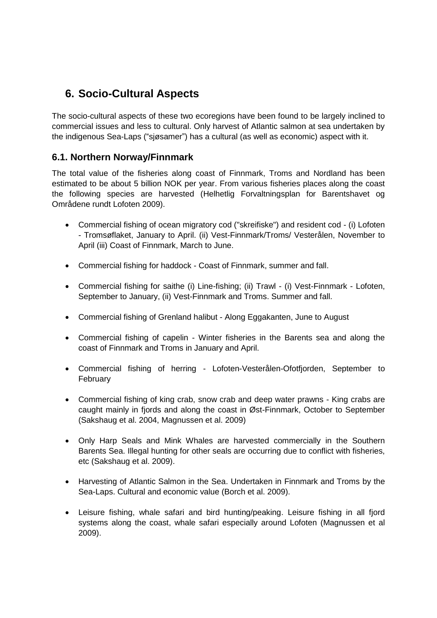## <span id="page-20-0"></span>**6. Socio-Cultural Aspects**

The socio-cultural aspects of these two ecoregions have been found to be largely inclined to commercial issues and less to cultural. Only harvest of Atlantic salmon at sea undertaken by the indigenous Sea-Laps ("sjøsamer") has a cultural (as well as economic) aspect with it.

#### <span id="page-20-1"></span>**6.1. Northern Norway/Finnmark**

The total value of the fisheries along coast of Finnmark, Troms and Nordland has been estimated to be about 5 billion NOK per year. From various fisheries places along the coast the following species are harvested (Helhetlig Forvaltningsplan for Barentshavet og Områdene rundt Lofoten 2009).

- Commercial fishing of ocean migratory cod ("skreifiske") and resident cod (i) Lofoten - Tromsøflaket, January to April. (ii) Vest-Finnmark/Troms/ Vesterålen, November to April (iii) Coast of Finnmark, March to June.
- Commercial fishing for haddock Coast of Finnmark, summer and fall.
- Commercial fishing for saithe (i) Line-fishing; (ii) Trawl (i) Vest-Finnmark Lofoten, September to January, (ii) Vest-Finnmark and Troms. Summer and fall.
- Commercial fishing of Grenland halibut Along Eggakanten, June to August
- Commercial fishing of capelin Winter fisheries in the Barents sea and along the coast of Finnmark and Troms in January and April.
- Commercial fishing of herring Lofoten-Vesterålen-Ofotfjorden, September to February
- Commercial fishing of king crab, snow crab and deep water prawns King crabs are caught mainly in fjords and along the coast in Øst-Finnmark, October to September (Sakshaug et al. 2004, Magnussen et al. 2009)
- Only Harp Seals and Mink Whales are harvested commercially in the Southern Barents Sea. Illegal hunting for other seals are occurring due to conflict with fisheries, etc (Sakshaug et al. 2009).
- Harvesting of Atlantic Salmon in the Sea. Undertaken in Finnmark and Troms by the Sea-Laps. Cultural and economic value (Borch et al. 2009).
- Leisure fishing, whale safari and bird hunting/peaking. Leisure fishing in all fiord systems along the coast, whale safari especially around Lofoten (Magnussen et al 2009).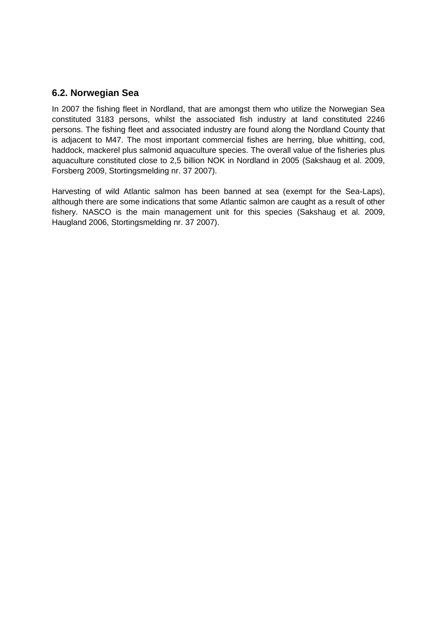#### <span id="page-21-0"></span>**6.2. Norwegian Sea**

In 2007 the fishing fleet in Nordland, that are amongst them who utilize the Norwegian Sea constituted 3183 persons, whilst the associated fish industry at land constituted 2246 persons. The fishing fleet and associated industry are found along the Nordland County that is adjacent to M47. The most important commercial fishes are herring, blue whitting, cod, haddock, mackerel plus salmonid aquaculture species. The overall value of the fisheries plus aquaculture constituted close to 2,5 billion NOK in Nordland in 2005 (Sakshaug et al. 2009, Forsberg 2009, Stortingsmelding nr. 37 2007).

Harvesting of wild Atlantic salmon has been banned at sea (exempt for the Sea-Laps), although there are some indications that some Atlantic salmon are caught as a result of other fishery. NASCO is the main management unit for this species (Sakshaug et al. 2009, Haugland 2006, Stortingsmelding nr. 37 2007).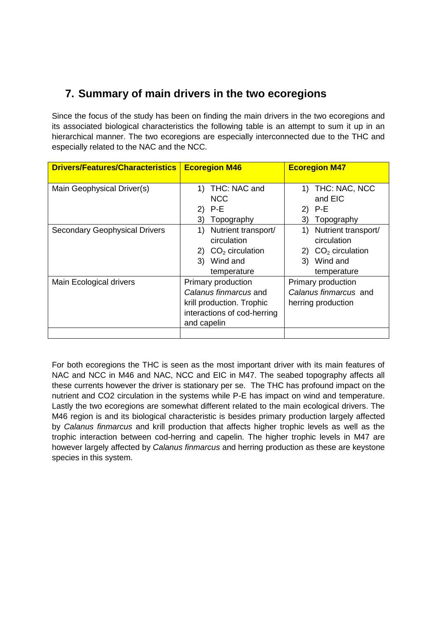## <span id="page-22-0"></span>**7. Summary of main drivers in the two ecoregions**

Since the focus of the study has been on finding the main drivers in the two ecoregions and its associated biological characteristics the following table is an attempt to sum it up in an hierarchical manner. The two ecoregions are especially interconnected due to the THC and especially related to the NAC and the NCC.

| <b>Drivers/Features/Characteristics</b> | <b>Ecoregion M46</b>                                                                                                   | <b>Ecoregion M47</b>                                                                              |
|-----------------------------------------|------------------------------------------------------------------------------------------------------------------------|---------------------------------------------------------------------------------------------------|
| Main Geophysical Driver(s)              | THC: NAC and<br>1)<br>NCC.<br>2) P-E<br>3)<br>Topography                                                               | THC: NAC, NCC<br>1)<br>and EIC<br>P-E<br>2)<br>3)<br>Topography                                   |
| <b>Secondary Geophysical Drivers</b>    | Nutrient transport/<br>1)<br>circulation<br>2) $CO2$ circulation<br>3)<br>Wind and<br>temperature                      | Nutrient transport/<br>1)<br>circulation<br>2) $CO2$ circulation<br>Wind and<br>3)<br>temperature |
| Main Ecological drivers                 | Primary production<br>Calanus finmarcus and<br>krill production. Trophic<br>interactions of cod-herring<br>and capelin | Primary production<br>Calanus finmarcus and<br>herring production                                 |

For both ecoregions the THC is seen as the most important driver with its main features of NAC and NCC in M46 and NAC, NCC and EIC in M47. The seabed topography affects all these currents however the driver is stationary per se. The THC has profound impact on the nutrient and CO2 circulation in the systems while P-E has impact on wind and temperature. Lastly the two ecoregions are somewhat different related to the main ecological drivers. The M46 region is and its biological characteristic is besides primary production largely affected by *Calanus finmarcus* and krill production that affects higher trophic levels as well as the trophic interaction between cod-herring and capelin. The higher trophic levels in M47 are however largely affected by *Calanus finmarcus* and herring production as these are keystone species in this system.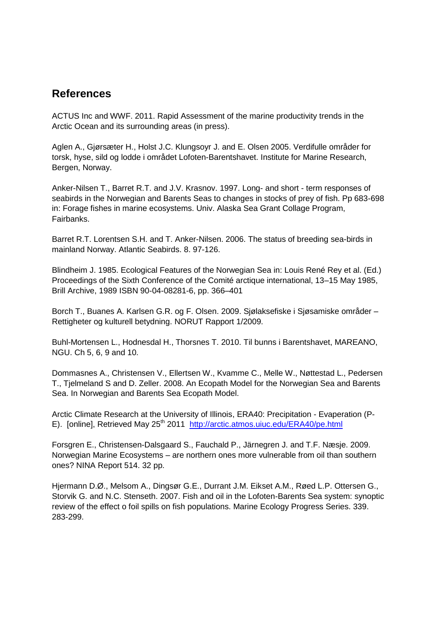## <span id="page-23-0"></span>**References**

ACTUS Inc and WWF. 2011. Rapid Assessment of the marine productivity trends in the Arctic Ocean and its surrounding areas (in press).

Aglen A., Gjørsæter H., Holst J.C. Klungsoyr J. and E. Olsen 2005. Verdifulle områder for torsk, hyse, sild og lodde i området Lofoten-Barentshavet. Institute for Marine Research, Bergen, Norway.

Anker-Nilsen T., Barret R.T. and J.V. Krasnov. 1997. Long- and short - term responses of seabirds in the Norwegian and Barents Seas to changes in stocks of prey of fish. Pp 683-698 in: Forage fishes in marine ecosystems. Univ. Alaska Sea Grant Collage Program, Fairbanks.

Barret R.T. Lorentsen S.H. and T. Anker-Nilsen. 2006. The status of breeding sea-birds in mainland Norway. Atlantic Seabirds. 8. 97-126.

Blindheim J. 1985. Ecological Features of the Norwegian Sea in: Louis René Rey et al. (Ed.) Proceedings of the Sixth Conference of the Comité arctique international, 13–15 May 1985, Brill Archive, 1989 ISBN 90-04-08281-6, pp. 366–401

Borch T., Buanes A. Karlsen G.R. og F. Olsen. 2009. Sjølaksefiske i Sjøsamiske områder – Rettigheter og kulturell betydning. NORUT Rapport 1/2009.

Buhl-Mortensen L., Hodnesdal H., Thorsnes T. 2010. Til bunns i Barentshavet, MAREANO, NGU. Ch 5, 6, 9 and 10.

Dommasnes A., Christensen V., Ellertsen W., Kvamme C., Melle W., Nøttestad L., Pedersen T., Tjelmeland S and D. Zeller. 2008. An Ecopath Model for the Norwegian Sea and Barents Sea. In Norwegian and Barents Sea Ecopath Model.

Arctic Climate Research at the University of Illinois, ERA40: Precipitation - Evaperation (PE). [online], Retrieved May 25<sup>th</sup> 2011 <http://arctic.atmos.uiuc.edu/ERA40/pe.html>

Forsgren E., Christensen-Dalsgaard S., Fauchald P., Järnegren J. and T.F. Næsje. 2009. Norwegian Marine Ecosystems – are northern ones more vulnerable from oil than southern ones? NINA Report 514. 32 pp.

Hjermann D.Ø., Melsom A., Dingsør G.E., Durrant J.M. Eikset A.M., Røed L.P. Ottersen G., Storvik G. and N.C. Stenseth. 2007. Fish and oil in the Lofoten-Barents Sea system: synoptic review of the effect o foil spills on fish populations. Marine Ecology Progress Series. 339. 283-299.